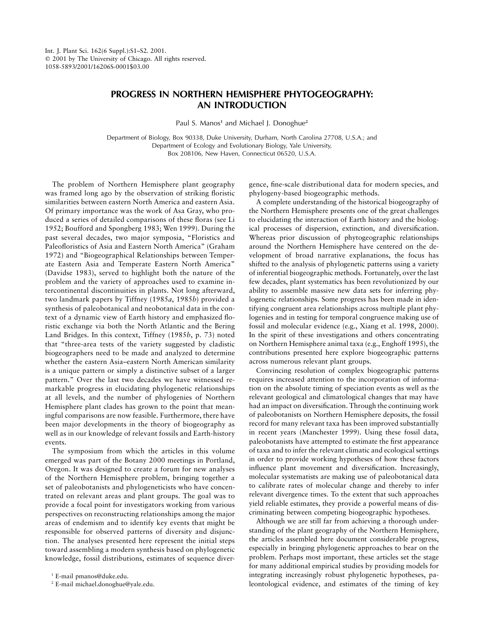## **PROGRESS IN NORTHERN HEMISPHERE PHYTOGEOGRAPHY: AN INTRODUCTION**

Paul S. Manos<sup>1</sup> and Michael J. Donoghue<sup>2</sup>

Department of Biology, Box 90338, Duke University, Durham, North Carolina 27708, U.S.A.; and Department of Ecology and Evolutionary Biology, Yale University, Box 208106, New Haven, Connecticut 06520, U.S.A.

The problem of Northern Hemisphere plant geography was framed long ago by the observation of striking floristic similarities between eastern North America and eastern Asia. Of primary importance was the work of Asa Gray, who produced a series of detailed comparisons of these floras (see Li 1952; Boufford and Spongberg 1983; Wen 1999). During the past several decades, two major symposia, "Floristics and Paleofloristics of Asia and Eastern North America" (Graham 1972) and "Biogeographical Relationships between Temperate Eastern Asia and Temperate Eastern North America" (Davidse 1983), served to highlight both the nature of the problem and the variety of approaches used to examine intercontinental discontinuities in plants. Not long afterward, two landmark papers by Tiffney (1985*a*, 1985*b*) provided a synthesis of paleobotanical and neobotanical data in the context of a dynamic view of Earth history and emphasized floristic exchange via both the North Atlantic and the Bering Land Bridges. In this context, Tiffney (1985*b*, p. 73) noted that "three-area tests of the variety suggested by cladistic biogeographers need to be made and analyzed to determine whether the eastern Asia–eastern North American similarity is a unique pattern or simply a distinctive subset of a larger pattern." Over the last two decades we have witnessed remarkable progress in elucidating phylogenetic relationships at all levels, and the number of phylogenies of Northern Hemisphere plant clades has grown to the point that meaningful comparisons are now feasible. Furthermore, there have been major developments in the theory of biogeography as well as in our knowledge of relevant fossils and Earth-history events.

The symposium from which the articles in this volume emerged was part of the Botany 2000 meetings in Portland, Oregon. It was designed to create a forum for new analyses of the Northern Hemisphere problem, bringing together a set of paleobotanists and phylogeneticists who have concentrated on relevant areas and plant groups. The goal was to provide a focal point for investigators working from various perspectives on reconstructing relationships among the major areas of endemism and to identify key events that might be responsible for observed patterns of diversity and disjunction. The analyses presented here represent the initial steps toward assembling a modern synthesis based on phylogenetic knowledge, fossil distributions, estimates of sequence diver-

gence, fine-scale distributional data for modern species, and phylogeny-based biogeographic methods.

A complete understanding of the historical biogeography of the Northern Hemisphere presents one of the great challenges to elucidating the interaction of Earth history and the biological processes of dispersion, extinction, and diversification. Whereas prior discussion of phytogeographic relationships around the Northern Hemisphere have centered on the development of broad narrative explanations, the focus has shifted to the analysis of phylogenetic patterns using a variety of inferential biogeographic methods. Fortunately, over the last few decades, plant systematics has been revolutionized by our ability to assemble massive new data sets for inferring phylogenetic relationships. Some progress has been made in identifying congruent area relationships across multiple plant phylogenies and in testing for temporal congruence making use of fossil and molecular evidence (e.g., Xiang et al. 1998, 2000). In the spirit of these investigations and others concentrating on Northern Hemisphere animal taxa (e.g., Enghoff 1995), the contributions presented here explore biogeographic patterns across numerous relevant plant groups.

Convincing resolution of complex biogeographic patterns requires increased attention to the incorporation of information on the absolute timing of speciation events as well as the relevant geological and climatological changes that may have had an impact on diversification. Through the continuing work of paleobotanists on Northern Hemisphere deposits, the fossil record for many relevant taxa has been improved substantially in recent years (Manchester 1999). Using these fossil data, paleobotanists have attempted to estimate the first appearance of taxa and to infer the relevant climatic and ecological settings in order to provide working hypotheses of how these factors influence plant movement and diversification. Increasingly, molecular systematists are making use of paleobotanical data to calibrate rates of molecular change and thereby to infer relevant divergence times. To the extent that such approaches yield reliable estimates, they provide a powerful means of discriminating between competing biogeographic hypotheses.

Although we are still far from achieving a thorough understanding of the plant geography of the Northern Hemisphere, the articles assembled here document considerable progress, especially in bringing phylogenetic approaches to bear on the problem. Perhaps most important, these articles set the stage for many additional empirical studies by providing models for integrating increasingly robust phylogenetic hypotheses, paleontological evidence, and estimates of the timing of key

<sup>1</sup> E-mail pmanos@duke.edu.

<sup>2</sup> E-mail michael.donoghue@yale.edu.